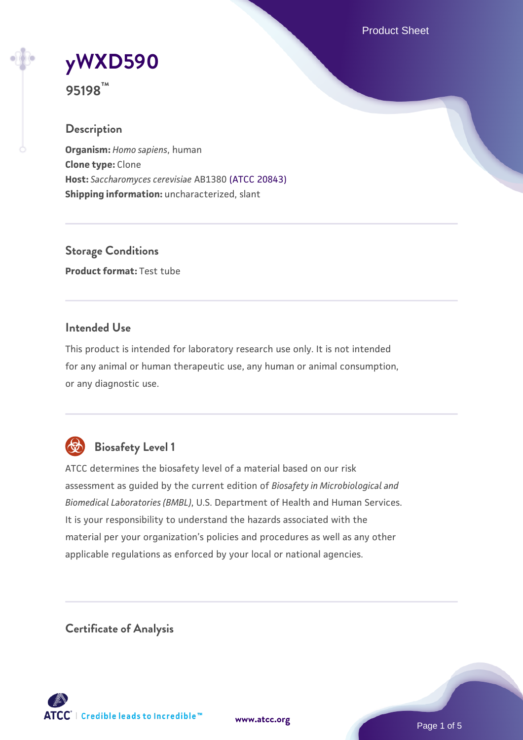Product Sheet

# **[yWXD590](https://www.atcc.org/products/95198)**

**95198™**

#### **Description**

**Organism:** *Homo sapiens*, human **Clone type:** Clone **Host:** *Saccharomyces cerevisiae* AB1380 [\(ATCC 20843\)](https://www.atcc.org/products/20843) **Shipping information:** uncharacterized, slant

**Storage Conditions Product format:** Test tube

#### **Intended Use**

This product is intended for laboratory research use only. It is not intended for any animal or human therapeutic use, any human or animal consumption, or any diagnostic use.



### **Biosafety Level 1**

ATCC determines the biosafety level of a material based on our risk assessment as guided by the current edition of *Biosafety in Microbiological and Biomedical Laboratories (BMBL)*, U.S. Department of Health and Human Services. It is your responsibility to understand the hazards associated with the material per your organization's policies and procedures as well as any other applicable regulations as enforced by your local or national agencies.

**Certificate of Analysis**

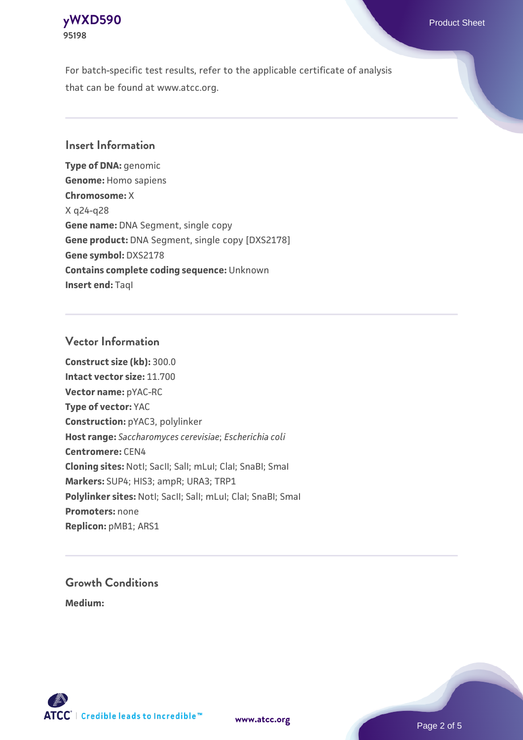

For batch-specific test results, refer to the applicable certificate of analysis that can be found at www.atcc.org.

#### **Insert Information**

**Type of DNA:** genomic **Genome:** Homo sapiens **Chromosome:** X X q24-q28 **Gene name:** DNA Segment, single copy **Gene product:** DNA Segment, single copy [DXS2178] **Gene symbol:** DXS2178 **Contains complete coding sequence:** Unknown **Insert end: Tagl** 

#### **Vector Information**

**Construct size (kb):** 300.0 **Intact vector size:** 11.700 **Vector name:** pYAC-RC **Type of vector:** YAC **Construction:** pYAC3, polylinker **Host range:** *Saccharomyces cerevisiae*; *Escherichia coli* **Centromere:** CEN4 **Cloning sites:** NotI; SacII; SalI; mLuI; ClaI; SnaBI; SmaI **Markers:** SUP4; HIS3; ampR; URA3; TRP1 Polylinker sites: Notl; SacII; SalI; mLuI; ClaI; SnaBI; SmaI **Promoters:** none **Replicon:** pMB1; ARS1

## **Growth Conditions**

**Medium:** 



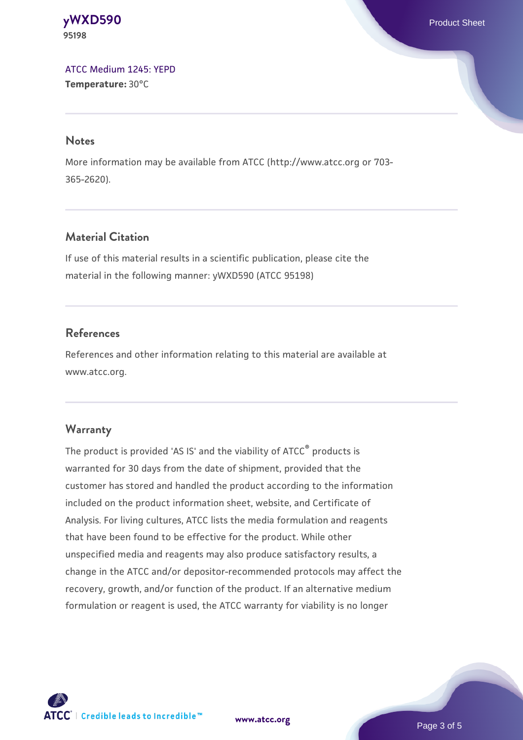**[yWXD590](https://www.atcc.org/products/95198)** Product Sheet **95198**

[ATCC Medium 1245: YEPD](https://www.atcc.org/-/media/product-assets/documents/microbial-media-formulations/1/2/4/5/atcc-medium-1245.pdf?rev=705ca55d1b6f490a808a965d5c072196) **Temperature:** 30°C

#### **Notes**

More information may be available from ATCC (http://www.atcc.org or 703- 365-2620).

#### **Material Citation**

If use of this material results in a scientific publication, please cite the material in the following manner: yWXD590 (ATCC 95198)

#### **References**

References and other information relating to this material are available at www.atcc.org.

#### **Warranty**

The product is provided 'AS IS' and the viability of ATCC® products is warranted for 30 days from the date of shipment, provided that the customer has stored and handled the product according to the information included on the product information sheet, website, and Certificate of Analysis. For living cultures, ATCC lists the media formulation and reagents that have been found to be effective for the product. While other unspecified media and reagents may also produce satisfactory results, a change in the ATCC and/or depositor-recommended protocols may affect the recovery, growth, and/or function of the product. If an alternative medium formulation or reagent is used, the ATCC warranty for viability is no longer



**[www.atcc.org](http://www.atcc.org)**

Page 3 of 5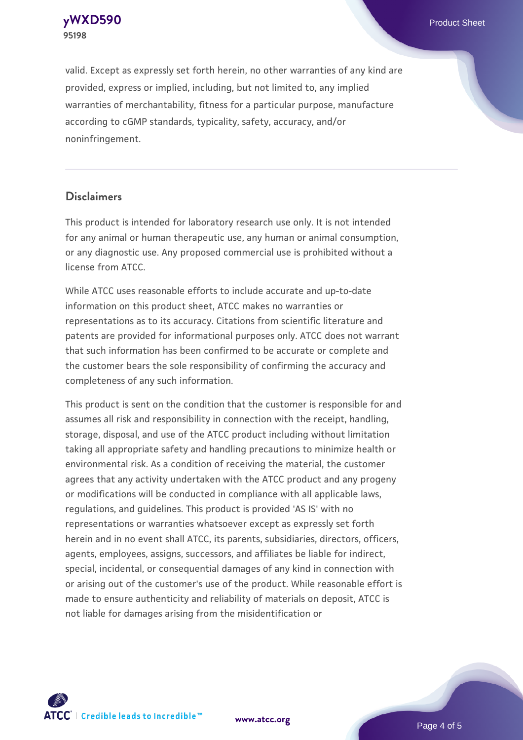**[yWXD590](https://www.atcc.org/products/95198)** Product Sheet **95198**

valid. Except as expressly set forth herein, no other warranties of any kind are provided, express or implied, including, but not limited to, any implied warranties of merchantability, fitness for a particular purpose, manufacture according to cGMP standards, typicality, safety, accuracy, and/or noninfringement.

#### **Disclaimers**

This product is intended for laboratory research use only. It is not intended for any animal or human therapeutic use, any human or animal consumption, or any diagnostic use. Any proposed commercial use is prohibited without a license from ATCC.

While ATCC uses reasonable efforts to include accurate and up-to-date information on this product sheet, ATCC makes no warranties or representations as to its accuracy. Citations from scientific literature and patents are provided for informational purposes only. ATCC does not warrant that such information has been confirmed to be accurate or complete and the customer bears the sole responsibility of confirming the accuracy and completeness of any such information.

This product is sent on the condition that the customer is responsible for and assumes all risk and responsibility in connection with the receipt, handling, storage, disposal, and use of the ATCC product including without limitation taking all appropriate safety and handling precautions to minimize health or environmental risk. As a condition of receiving the material, the customer agrees that any activity undertaken with the ATCC product and any progeny or modifications will be conducted in compliance with all applicable laws, regulations, and guidelines. This product is provided 'AS IS' with no representations or warranties whatsoever except as expressly set forth herein and in no event shall ATCC, its parents, subsidiaries, directors, officers, agents, employees, assigns, successors, and affiliates be liable for indirect, special, incidental, or consequential damages of any kind in connection with or arising out of the customer's use of the product. While reasonable effort is made to ensure authenticity and reliability of materials on deposit, ATCC is not liable for damages arising from the misidentification or



**[www.atcc.org](http://www.atcc.org)**

Page 4 of 5